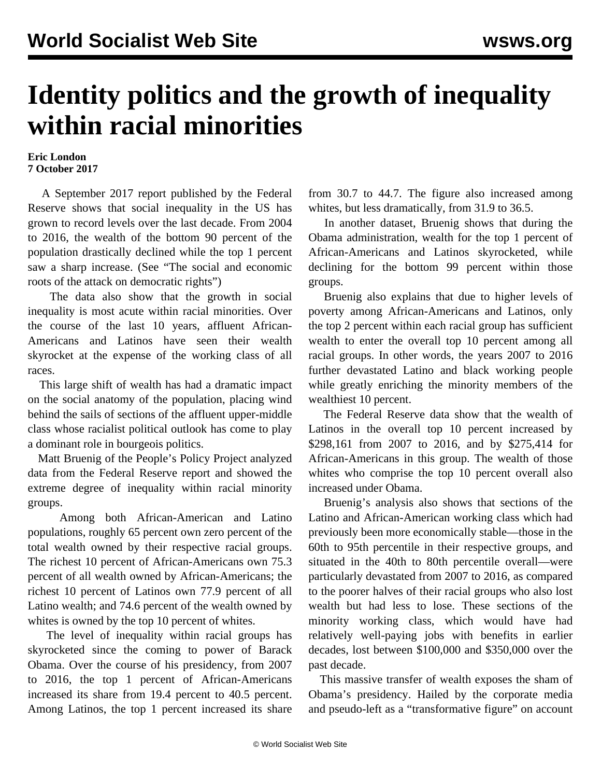## **Identity politics and the growth of inequality within racial minorities**

## **Eric London 7 October 2017**

 A September 2017 report published by the Federal Reserve shows that social inequality in the US has grown to record levels over the last decade. From 2004 to 2016, the wealth of the bottom 90 percent of the population drastically declined while the top 1 percent saw a sharp increase. (See ["The social and economic](/en/articles/2017/10/06/pers-o06.html) [roots of the attack on democratic rights](/en/articles/2017/10/06/pers-o06.html)")

 The data also show that the growth in social inequality is most acute within racial minorities. Over the course of the last 10 years, affluent African-Americans and Latinos have seen their wealth skyrocket at the expense of the working class of all races.

 This large shift of wealth has had a dramatic impact on the social anatomy of the population, placing wind behind the sails of sections of the affluent upper-middle class whose racialist political outlook has come to play a dominant role in bourgeois politics.

 Matt Bruenig of the People's Policy Project analyzed data from the Federal Reserve report and showed the extreme degree of inequality within racial minority groups.

 Among both African-American and Latino populations, roughly 65 percent own zero percent of the total wealth owned by their respective racial groups. The richest 10 percent of African-Americans own 75.3 percent of all wealth owned by African-Americans; the richest 10 percent of Latinos own 77.9 percent of all Latino wealth; and 74.6 percent of the wealth owned by whites is owned by the top 10 percent of whites.

 The level of inequality within racial groups has skyrocketed since the coming to power of Barack Obama. Over the course of his presidency, from 2007 to 2016, the top 1 percent of African-Americans increased its share from 19.4 percent to 40.5 percent. Among Latinos, the top 1 percent increased its share from 30.7 to 44.7. The figure also increased among whites, but less dramatically, from 31.9 to 36.5.

 In another dataset, Bruenig shows that during the Obama administration, wealth for the top 1 percent of African-Americans and Latinos skyrocketed, while declining for the bottom 99 percent within those groups.

 Bruenig also explains that due to higher levels of poverty among African-Americans and Latinos, only the top 2 percent within each racial group has sufficient wealth to enter the overall top 10 percent among all racial groups. In other words, the years 2007 to 2016 further devastated Latino and black working people while greatly enriching the minority members of the wealthiest 10 percent.

 The Federal Reserve data show that the wealth of Latinos in the overall top 10 percent increased by \$298,161 from 2007 to 2016, and by \$275,414 for African-Americans in this group. The wealth of those whites who comprise the top 10 percent overall also increased under Obama.

 Bruenig's analysis also shows that sections of the Latino and African-American working class which had previously been more economically stable—those in the 60th to 95th percentile in their respective groups, and situated in the 40th to 80th percentile overall—were particularly devastated from 2007 to 2016, as compared to the poorer halves of their racial groups who also lost wealth but had less to lose. These sections of the minority working class, which would have had relatively well-paying jobs with benefits in earlier decades, lost between \$100,000 and \$350,000 over the past decade.

 This massive transfer of wealth exposes the sham of Obama's presidency. Hailed by the corporate media and pseudo-left as a "transformative figure" on account